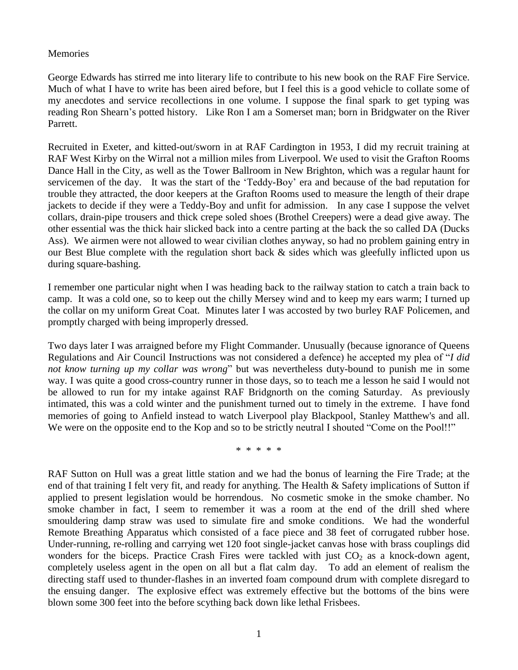## **Memories**

George Edwards has stirred me into literary life to contribute to his new book on the RAF Fire Service. Much of what I have to write has been aired before, but I feel this is a good vehicle to collate some of my anecdotes and service recollections in one volume. I suppose the final spark to get typing was reading Ron Shearn"s potted history. Like Ron I am a Somerset man; born in Bridgwater on the River Parrett.

Recruited in Exeter, and kitted-out/sworn in at RAF Cardington in 1953, I did my recruit training at RAF West Kirby on the Wirral not a million miles from Liverpool. We used to visit the Grafton Rooms Dance Hall in the City, as well as the Tower Ballroom in New Brighton, which was a regular haunt for servicemen of the day. It was the start of the "Teddy-Boy" era and because of the bad reputation for trouble they attracted, the door keepers at the Grafton Rooms used to measure the length of their drape jackets to decide if they were a Teddy-Boy and unfit for admission. In any case I suppose the velvet collars, drain-pipe trousers and thick crepe soled shoes (Brothel Creepers) were a dead give away. The other essential was the thick hair slicked back into a centre parting at the back the so called DA (Ducks Ass). We airmen were not allowed to wear civilian clothes anyway, so had no problem gaining entry in our Best Blue complete with the regulation short back & sides which was gleefully inflicted upon us during square-bashing.

I remember one particular night when I was heading back to the railway station to catch a train back to camp. It was a cold one, so to keep out the chilly Mersey wind and to keep my ears warm; I turned up the collar on my uniform Great Coat. Minutes later I was accosted by two burley RAF Policemen, and promptly charged with being improperly dressed.

Two days later I was arraigned before my Flight Commander. Unusually (because ignorance of Queens Regulations and Air Council Instructions was not considered a defence) he accepted my plea of "*I did not know turning up my collar was wrong*" but was nevertheless duty-bound to punish me in some way. I was quite a good cross-country runner in those days, so to teach me a lesson he said I would not be allowed to run for my intake against RAF Bridgnorth on the coming Saturday. As previously intimated, this was a cold winter and the punishment turned out to timely in the extreme. I have fond memories of going to Anfield instead to watch Liverpool play Blackpool, Stanley Matthew's and all. We were on the opposite end to the Kop and so to be strictly neutral I shouted "Come on the Pool!!"

\* \* \* \* \*

RAF Sutton on Hull was a great little station and we had the bonus of learning the Fire Trade; at the end of that training I felt very fit, and ready for anything. The Health & Safety implications of Sutton if applied to present legislation would be horrendous. No cosmetic smoke in the smoke chamber. No smoke chamber in fact, I seem to remember it was a room at the end of the drill shed where smouldering damp straw was used to simulate fire and smoke conditions. We had the wonderful Remote Breathing Apparatus which consisted of a face piece and 38 feet of corrugated rubber hose. Under-running, re-rolling and carrying wet 120 foot single-jacket canvas hose with brass couplings did wonders for the biceps. Practice Crash Fires were tackled with just  $CO<sub>2</sub>$  as a knock-down agent, completely useless agent in the open on all but a flat calm day. To add an element of realism the directing staff used to thunder-flashes in an inverted foam compound drum with complete disregard to the ensuing danger. The explosive effect was extremely effective but the bottoms of the bins were blown some 300 feet into the before scything back down like lethal Frisbees.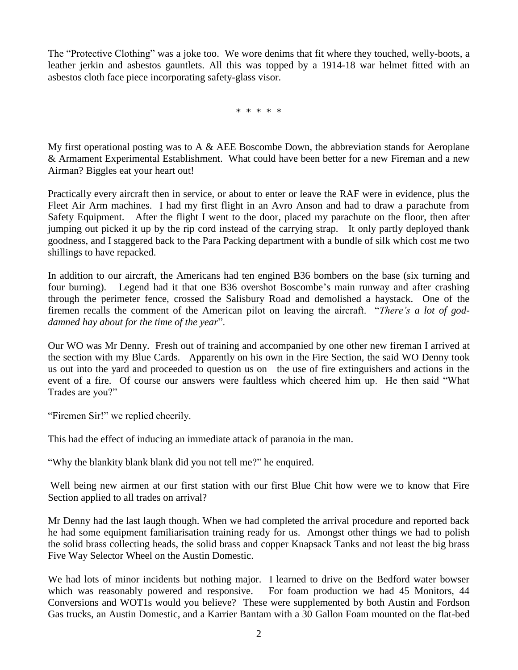The "Protective Clothing" was a joke too. We wore denims that fit where they touched, welly-boots, a leather jerkin and asbestos gauntlets. All this was topped by a 1914-18 war helmet fitted with an asbestos cloth face piece incorporating safety-glass visor.

\* \* \* \* \*

My first operational posting was to A  $\&$  AEE Boscombe Down, the abbreviation stands for Aeroplane & Armament Experimental Establishment. What could have been better for a new Fireman and a new Airman? Biggles eat your heart out!

Practically every aircraft then in service, or about to enter or leave the RAF were in evidence, plus the Fleet Air Arm machines. I had my first flight in an Avro Anson and had to draw a parachute from Safety Equipment. After the flight I went to the door, placed my parachute on the floor, then after jumping out picked it up by the rip cord instead of the carrying strap. It only partly deployed thank goodness, and I staggered back to the Para Packing department with a bundle of silk which cost me two shillings to have repacked.

In addition to our aircraft, the Americans had ten engined B36 bombers on the base (six turning and four burning). Legend had it that one B36 overshot Boscombe's main runway and after crashing through the perimeter fence, crossed the Salisbury Road and demolished a haystack. One of the firemen recalls the comment of the American pilot on leaving the aircraft. "*There's a lot of goddamned hay about for the time of the year*".

Our WO was Mr Denny. Fresh out of training and accompanied by one other new fireman I arrived at the section with my Blue Cards. Apparently on his own in the Fire Section, the said WO Denny took us out into the yard and proceeded to question us on the use of fire extinguishers and actions in the event of a fire. Of course our answers were faultless which cheered him up. He then said "What Trades are you?"

"Firemen Sir!" we replied cheerily.

This had the effect of inducing an immediate attack of paranoia in the man.

"Why the blankity blank blank did you not tell me?" he enquired.

Well being new airmen at our first station with our first Blue Chit how were we to know that Fire Section applied to all trades on arrival?

Mr Denny had the last laugh though. When we had completed the arrival procedure and reported back he had some equipment familiarisation training ready for us. Amongst other things we had to polish the solid brass collecting heads, the solid brass and copper Knapsack Tanks and not least the big brass Five Way Selector Wheel on the Austin Domestic.

We had lots of minor incidents but nothing major. I learned to drive on the Bedford water bowser which was reasonably powered and responsive. For foam production we had 45 Monitors, 44 Conversions and WOT1s would you believe? These were supplemented by both Austin and Fordson Gas trucks, an Austin Domestic, and a Karrier Bantam with a 30 Gallon Foam mounted on the flat-bed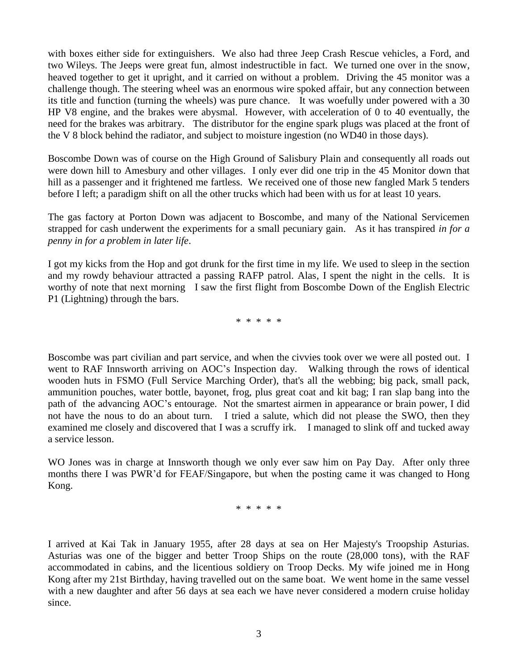with boxes either side for extinguishers. We also had three Jeep Crash Rescue vehicles, a Ford, and two Wileys. The Jeeps were great fun, almost indestructible in fact. We turned one over in the snow, heaved together to get it upright, and it carried on without a problem. Driving the 45 monitor was a challenge though. The steering wheel was an enormous wire spoked affair, but any connection between its title and function (turning the wheels) was pure chance. It was woefully under powered with a 30 HP V8 engine, and the brakes were abysmal. However, with acceleration of 0 to 40 eventually, the need for the brakes was arbitrary. The distributor for the engine spark plugs was placed at the front of the V 8 block behind the radiator, and subject to moisture ingestion (no WD40 in those days).

Boscombe Down was of course on the High Ground of Salisbury Plain and consequently all roads out were down hill to Amesbury and other villages. I only ever did one trip in the 45 Monitor down that hill as a passenger and it frightened me fartless. We received one of those new fangled Mark 5 tenders before I left; a paradigm shift on all the other trucks which had been with us for at least 10 years.

The gas factory at Porton Down was adjacent to Boscombe, and many of the National Servicemen strapped for cash underwent the experiments for a small pecuniary gain. As it has transpired *in for a penny in for a problem in later life*.

I got my kicks from the Hop and got drunk for the first time in my life. We used to sleep in the section and my rowdy behaviour attracted a passing RAFP patrol. Alas, I spent the night in the cells. It is worthy of note that next morning I saw the first flight from Boscombe Down of the English Electric P1 (Lightning) through the bars.

\* \* \* \* \*

Boscombe was part civilian and part service, and when the civvies took over we were all posted out. I went to RAF Innsworth arriving on AOC's Inspection day. Walking through the rows of identical wooden huts in FSMO (Full Service Marching Order), that's all the webbing; big pack, small pack, ammunition pouches, water bottle, bayonet, frog, plus great coat and kit bag; I ran slap bang into the path of the advancing AOC"s entourage. Not the smartest airmen in appearance or brain power, I did not have the nous to do an about turn. I tried a salute, which did not please the SWO, then they examined me closely and discovered that I was a scruffy irk. I managed to slink off and tucked away a service lesson.

WO Jones was in charge at Innsworth though we only ever saw him on Pay Day. After only three months there I was PWR"d for FEAF/Singapore, but when the posting came it was changed to Hong Kong.

\* \* \* \* \*

I arrived at Kai Tak in January 1955, after 28 days at sea on Her Majesty's Troopship Asturias. Asturias was one of the bigger and better Troop Ships on the route (28,000 tons), with the RAF accommodated in cabins, and the licentious soldiery on Troop Decks. My wife joined me in Hong Kong after my 21st Birthday, having travelled out on the same boat. We went home in the same vessel with a new daughter and after 56 days at sea each we have never considered a modern cruise holiday since.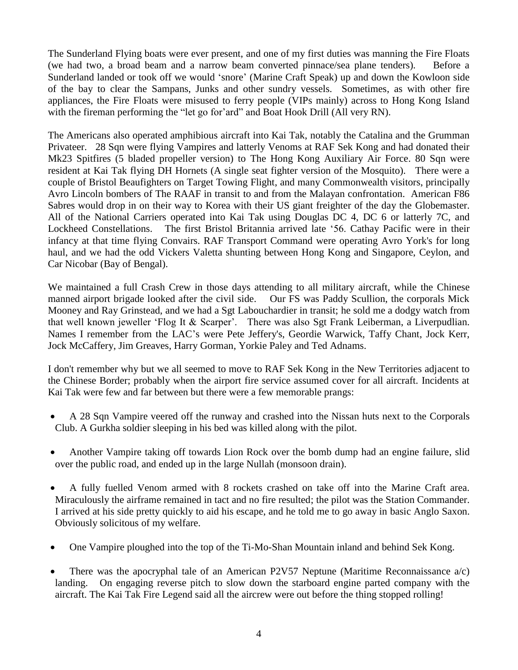The Sunderland Flying boats were ever present, and one of my first duties was manning the Fire Floats (we had two, a broad beam and a narrow beam converted pinnace/sea plane tenders). Before a Sunderland landed or took off we would "snore" (Marine Craft Speak) up and down the Kowloon side of the bay to clear the Sampans, Junks and other sundry vessels. Sometimes, as with other fire appliances, the Fire Floats were misused to ferry people (VIPs mainly) across to Hong Kong Island with the fireman performing the "let go for'ard" and Boat Hook Drill (All very RN).

The Americans also operated amphibious aircraft into Kai Tak, notably the Catalina and the Grumman Privateer. 28 Sqn were flying Vampires and latterly Venoms at RAF Sek Kong and had donated their Mk23 Spitfires (5 bladed propeller version) to The Hong Kong Auxiliary Air Force. 80 Sqn were resident at Kai Tak flying DH Hornets (A single seat fighter version of the Mosquito). There were a couple of Bristol Beaufighters on Target Towing Flight, and many Commonwealth visitors, principally Avro Lincoln bombers of The RAAF in transit to and from the Malayan confrontation. American F86 Sabres would drop in on their way to Korea with their US giant freighter of the day the Globemaster. All of the National Carriers operated into Kai Tak using Douglas DC 4, DC 6 or latterly 7C, and Lockheed Constellations. The first Bristol Britannia arrived late "56. Cathay Pacific were in their infancy at that time flying Convairs. RAF Transport Command were operating Avro York's for long haul, and we had the odd Vickers Valetta shunting between Hong Kong and Singapore, Ceylon, and Car Nicobar (Bay of Bengal).

We maintained a full Crash Crew in those days attending to all military aircraft, while the Chinese manned airport brigade looked after the civil side. Our FS was Paddy Scullion, the corporals Mick Mooney and Ray Grinstead, and we had a Sgt Labouchardier in transit; he sold me a dodgy watch from that well known jeweller 'Flog It & Scarper'. There was also Sgt Frank Leiberman, a Liverpudlian. Names I remember from the LAC"s were Pete Jeffery's, Geordie Warwick, Taffy Chant, Jock Kerr, Jock McCaffery, Jim Greaves, Harry Gorman, Yorkie Paley and Ted Adnams.

I don't remember why but we all seemed to move to RAF Sek Kong in the New Territories adjacent to the Chinese Border; probably when the airport fire service assumed cover for all aircraft. Incidents at Kai Tak were few and far between but there were a few memorable prangs:

- A 28 Sqn Vampire veered off the runway and crashed into the Nissan huts next to the Corporals Club. A Gurkha soldier sleeping in his bed was killed along with the pilot.
- Another Vampire taking off towards Lion Rock over the bomb dump had an engine failure, slid over the public road, and ended up in the large Nullah (monsoon drain).
- A fully fuelled Venom armed with 8 rockets crashed on take off into the Marine Craft area. Miraculously the airframe remained in tact and no fire resulted; the pilot was the Station Commander. I arrived at his side pretty quickly to aid his escape, and he told me to go away in basic Anglo Saxon. Obviously solicitous of my welfare.
- One Vampire ploughed into the top of the Ti-Mo-Shan Mountain inland and behind Sek Kong.
- There was the apocryphal tale of an American P2V57 Neptune (Maritime Reconnaissance  $a/c$ ) landing. On engaging reverse pitch to slow down the starboard engine parted company with the aircraft. The Kai Tak Fire Legend said all the aircrew were out before the thing stopped rolling!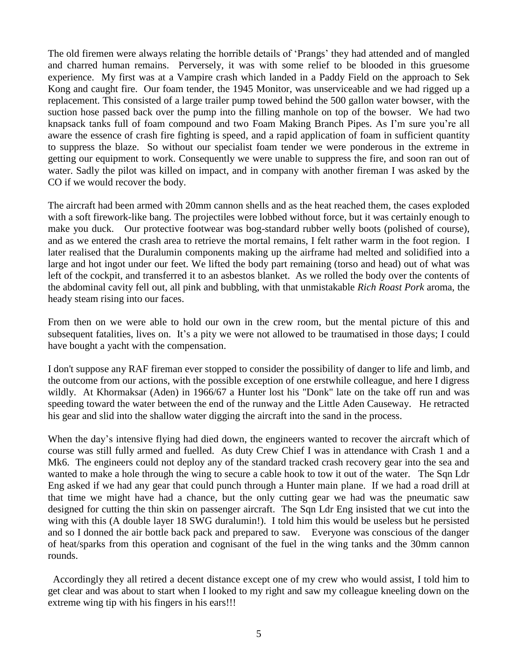The old firemen were always relating the horrible details of "Prangs" they had attended and of mangled and charred human remains. Perversely, it was with some relief to be blooded in this gruesome experience. My first was at a Vampire crash which landed in a Paddy Field on the approach to Sek Kong and caught fire. Our foam tender, the 1945 Monitor, was unserviceable and we had rigged up a replacement. This consisted of a large trailer pump towed behind the 500 gallon water bowser, with the suction hose passed back over the pump into the filling manhole on top of the bowser. We had two knapsack tanks full of foam compound and two Foam Making Branch Pipes. As I"m sure you"re all aware the essence of crash fire fighting is speed, and a rapid application of foam in sufficient quantity to suppress the blaze. So without our specialist foam tender we were ponderous in the extreme in getting our equipment to work. Consequently we were unable to suppress the fire, and soon ran out of water. Sadly the pilot was killed on impact, and in company with another fireman I was asked by the CO if we would recover the body.

The aircraft had been armed with 20mm cannon shells and as the heat reached them, the cases exploded with a soft firework-like bang. The projectiles were lobbed without force, but it was certainly enough to make you duck. Our protective footwear was bog-standard rubber welly boots (polished of course), and as we entered the crash area to retrieve the mortal remains, I felt rather warm in the foot region. I later realised that the Duralumin components making up the airframe had melted and solidified into a large and hot ingot under our feet. We lifted the body part remaining (torso and head) out of what was left of the cockpit, and transferred it to an asbestos blanket. As we rolled the body over the contents of the abdominal cavity fell out, all pink and bubbling, with that unmistakable *Rich Roast Pork* aroma, the heady steam rising into our faces.

From then on we were able to hold our own in the crew room, but the mental picture of this and subsequent fatalities, lives on. It's a pity we were not allowed to be traumatised in those days; I could have bought a yacht with the compensation.

I don't suppose any RAF fireman ever stopped to consider the possibility of danger to life and limb, and the outcome from our actions, with the possible exception of one erstwhile colleague, and here I digress wildly. At Khormaksar (Aden) in 1966/67 a Hunter lost his "Donk" late on the take off run and was speeding toward the water between the end of the runway and the Little Aden Causeway. He retracted his gear and slid into the shallow water digging the aircraft into the sand in the process.

When the day's intensive flying had died down, the engineers wanted to recover the aircraft which of course was still fully armed and fuelled. As duty Crew Chief I was in attendance with Crash 1 and a Mk6. The engineers could not deploy any of the standard tracked crash recovery gear into the sea and wanted to make a hole through the wing to secure a cable hook to tow it out of the water. The Sqn Ldr Eng asked if we had any gear that could punch through a Hunter main plane. If we had a road drill at that time we might have had a chance, but the only cutting gear we had was the pneumatic saw designed for cutting the thin skin on passenger aircraft. The Sqn Ldr Eng insisted that we cut into the wing with this (A double layer 18 SWG duralumin!). I told him this would be useless but he persisted and so I donned the air bottle back pack and prepared to saw. Everyone was conscious of the danger of heat/sparks from this operation and cognisant of the fuel in the wing tanks and the 30mm cannon rounds.

 Accordingly they all retired a decent distance except one of my crew who would assist, I told him to get clear and was about to start when I looked to my right and saw my colleague kneeling down on the extreme wing tip with his fingers in his ears!!!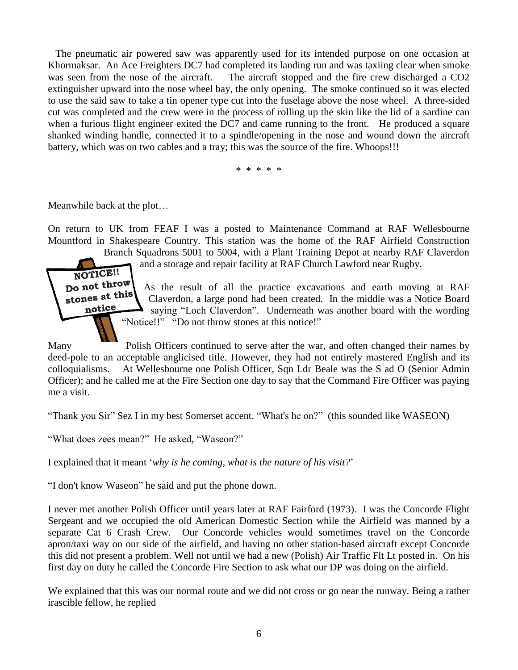The pneumatic air powered saw was apparently used for its intended purpose on one occasion at Khormaksar. An Ace Freighters DC7 had completed its landing run and was taxiing clear when smoke was seen from the nose of the aircraft. The aircraft stopped and the fire crew discharged a CO2 extinguisher upward into the nose wheel bay, the only opening. The smoke continued so it was elected to use the said saw to take a tin opener type cut into the fuselage above the nose wheel. A three-sided cut was completed and the crew were in the process of rolling up the skin like the lid of a sardine can when a furious flight engineer exited the DC7 and came running to the front. He produced a square shanked winding handle, connected it to a spindle/opening in the nose and wound down the aircraft battery, which was on two cables and a tray; this was the source of the fire. Whoops!!!

\* \* \* \* \*

Meanwhile back at the plot…

On return to UK from FEAF I was a posted to Maintenance Command at RAF Wellesbourne Mountford in Shakespeare Country. This station was the home of the RAF Airfield Construction

Branch Squadrons 5001 to 5004, with a Plant Training Depot at nearby RAF Claverdon and a storage and repair facility at RAF Church Lawford near Rugby.

NOTICE!! Do not throw stones at this notice

As the result of all the practice excavations and earth moving at RAF Claverdon, a large pond had been created. In the middle was a Notice Board saying "Loch Claverdon". Underneath was another board with the wording "Notice!!" "Do not throw stones at this notice!"

Many Polish Officers continued to serve after the war, and often changed their names by deed-pole to an acceptable anglicised title. However, they had not entirely mastered English and its colloquialisms. At Wellesbourne one Polish Officer, Sqn Ldr Beale was the S ad O (Senior Admin Officer); and he called me at the Fire Section one day to say that the Command Fire Officer was paying me a visit.

"Thank you Sir" Sez I in my best Somerset accent. "What's he on?" (this sounded like WASEON)

"What does zees mean?" He asked, "Waseon?"

I explained that it meant "*why is he coming, what is the nature of his visit?*"

"I don't know Waseon" he said and put the phone down.

I never met another Polish Officer until years later at RAF Fairford (1973). I was the Concorde Flight Sergeant and we occupied the old American Domestic Section while the Airfield was manned by a separate Cat 6 Crash Crew. Our Concorde vehicles would sometimes travel on the Concorde apron/taxi way on our side of the airfield, and having no other station-based aircraft except Concorde this did not present a problem. Well not until we had a new (Polish) Air Traffic Flt Lt posted in. On his first day on duty he called the Concorde Fire Section to ask what our DP was doing on the airfield.

We explained that this was our normal route and we did not cross or go near the runway. Being a rather irascible fellow, he replied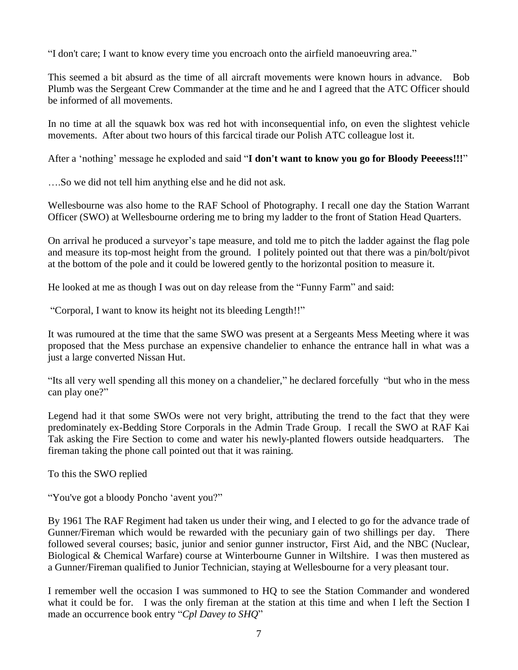"I don't care; I want to know every time you encroach onto the airfield manoeuvring area."

This seemed a bit absurd as the time of all aircraft movements were known hours in advance. Bob Plumb was the Sergeant Crew Commander at the time and he and I agreed that the ATC Officer should be informed of all movements.

In no time at all the squawk box was red hot with inconsequential info, on even the slightest vehicle movements. After about two hours of this farcical tirade our Polish ATC colleague lost it.

After a "nothing" message he exploded and said "**I don't want to know you go for Bloody Peeeess!!!**"

….So we did not tell him anything else and he did not ask.

Wellesbourne was also home to the RAF School of Photography. I recall one day the Station Warrant Officer (SWO) at Wellesbourne ordering me to bring my ladder to the front of Station Head Quarters.

On arrival he produced a surveyor"s tape measure, and told me to pitch the ladder against the flag pole and measure its top-most height from the ground. I politely pointed out that there was a pin/bolt/pivot at the bottom of the pole and it could be lowered gently to the horizontal position to measure it.

He looked at me as though I was out on day release from the "Funny Farm" and said:

"Corporal, I want to know its height not its bleeding Length!!"

It was rumoured at the time that the same SWO was present at a Sergeants Mess Meeting where it was proposed that the Mess purchase an expensive chandelier to enhance the entrance hall in what was a just a large converted Nissan Hut.

"Its all very well spending all this money on a chandelier," he declared forcefully "but who in the mess can play one?"

Legend had it that some SWOs were not very bright, attributing the trend to the fact that they were predominately ex-Bedding Store Corporals in the Admin Trade Group. I recall the SWO at RAF Kai Tak asking the Fire Section to come and water his newly-planted flowers outside headquarters. The fireman taking the phone call pointed out that it was raining.

To this the SWO replied

"You've got a bloody Poncho "avent you?"

By 1961 The RAF Regiment had taken us under their wing, and I elected to go for the advance trade of Gunner/Fireman which would be rewarded with the pecuniary gain of two shillings per day. There followed several courses; basic, junior and senior gunner instructor, First Aid, and the NBC (Nuclear, Biological & Chemical Warfare) course at Winterbourne Gunner in Wiltshire. I was then mustered as a Gunner/Fireman qualified to Junior Technician, staying at Wellesbourne for a very pleasant tour.

I remember well the occasion I was summoned to HQ to see the Station Commander and wondered what it could be for. I was the only fireman at the station at this time and when I left the Section I made an occurrence book entry "*Cpl Davey to SHQ*"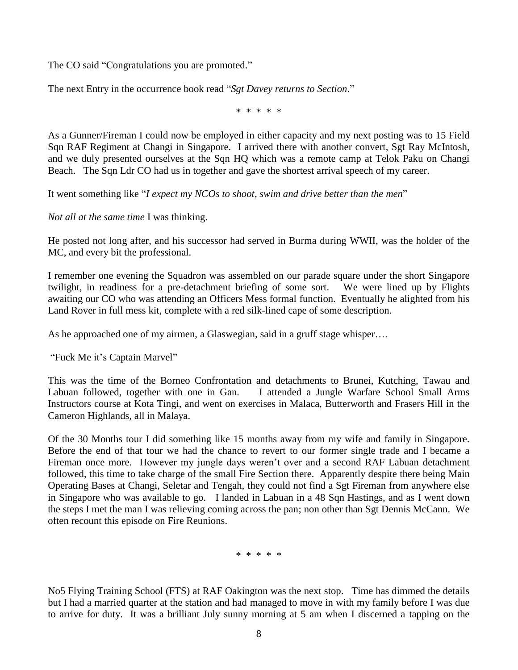The CO said "Congratulations you are promoted."

The next Entry in the occurrence book read "*Sgt Davey returns to Section*."

\* \* \* \* \*

As a Gunner/Fireman I could now be employed in either capacity and my next posting was to 15 Field Sqn RAF Regiment at Changi in Singapore. I arrived there with another convert, Sgt Ray McIntosh, and we duly presented ourselves at the Sqn HQ which was a remote camp at Telok Paku on Changi Beach. The Sqn Ldr CO had us in together and gave the shortest arrival speech of my career.

It went something like "*I expect my NCOs to shoot, swim and drive better than the men*"

*Not all at the same time* I was thinking.

He posted not long after, and his successor had served in Burma during WWII, was the holder of the MC, and every bit the professional.

I remember one evening the Squadron was assembled on our parade square under the short Singapore twilight, in readiness for a pre-detachment briefing of some sort. We were lined up by Flights awaiting our CO who was attending an Officers Mess formal function. Eventually he alighted from his Land Rover in full mess kit, complete with a red silk-lined cape of some description.

As he approached one of my airmen, a Glaswegian, said in a gruff stage whisper….

"Fuck Me it's Captain Marvel"

This was the time of the Borneo Confrontation and detachments to Brunei, Kutching, Tawau and Labuan followed, together with one in Gan. I attended a Jungle Warfare School Small Arms Instructors course at Kota Tingi, and went on exercises in Malaca, Butterworth and Frasers Hill in the Cameron Highlands, all in Malaya.

Of the 30 Months tour I did something like 15 months away from my wife and family in Singapore. Before the end of that tour we had the chance to revert to our former single trade and I became a Fireman once more. However my jungle days weren't over and a second RAF Labuan detachment followed, this time to take charge of the small Fire Section there. Apparently despite there being Main Operating Bases at Changi, Seletar and Tengah, they could not find a Sgt Fireman from anywhere else in Singapore who was available to go. I landed in Labuan in a 48 Sqn Hastings, and as I went down the steps I met the man I was relieving coming across the pan; non other than Sgt Dennis McCann. We often recount this episode on Fire Reunions.

\* \* \* \* \*

No5 Flying Training School (FTS) at RAF Oakington was the next stop. Time has dimmed the details but I had a married quarter at the station and had managed to move in with my family before I was due to arrive for duty. It was a brilliant July sunny morning at 5 am when I discerned a tapping on the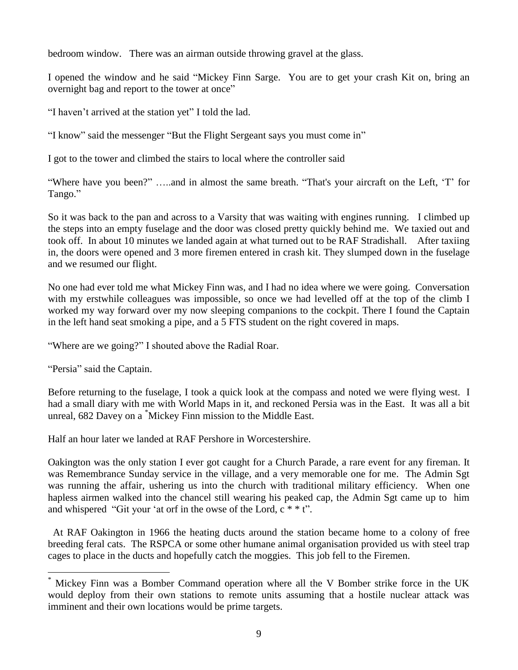bedroom window. There was an airman outside throwing gravel at the glass.

I opened the window and he said "Mickey Finn Sarge. You are to get your crash Kit on, bring an overnight bag and report to the tower at once"

"I haven"t arrived at the station yet" I told the lad.

"I know" said the messenger "But the Flight Sergeant says you must come in"

I got to the tower and climbed the stairs to local where the controller said

"Where have you been?" …..and in almost the same breath. "That's your aircraft on the Left, "T" for Tango."

So it was back to the pan and across to a Varsity that was waiting with engines running. I climbed up the steps into an empty fuselage and the door was closed pretty quickly behind me. We taxied out and took off. In about 10 minutes we landed again at what turned out to be RAF Stradishall. After taxiing in, the doors were opened and 3 more firemen entered in crash kit. They slumped down in the fuselage and we resumed our flight.

No one had ever told me what Mickey Finn was, and I had no idea where we were going. Conversation with my erstwhile colleagues was impossible, so once we had levelled off at the top of the climb I worked my way forward over my now sleeping companions to the cockpit. There I found the Captain in the left hand seat smoking a pipe, and a 5 FTS student on the right covered in maps.

"Where are we going?" I shouted above the Radial Roar.

"Persia" said the Captain.

 $\overline{a}$ 

Before returning to the fuselage, I took a quick look at the compass and noted we were flying west. I had a small diary with me with World Maps in it, and reckoned Persia was in the East. It was all a bit unreal, 682 Davey on a \*Mickey Finn mission to the Middle East.

Half an hour later we landed at RAF Pershore in Worcestershire.

Oakington was the only station I ever got caught for a Church Parade, a rare event for any fireman. It was Remembrance Sunday service in the village, and a very memorable one for me. The Admin Sgt was running the affair, ushering us into the church with traditional military efficiency. When one hapless airmen walked into the chancel still wearing his peaked cap, the Admin Sgt came up to him and whispered "Git your 'at orf in the owse of the Lord,  $c^*$  \* t".

 At RAF Oakington in 1966 the heating ducts around the station became home to a colony of free breeding feral cats. The RSPCA or some other humane animal organisation provided us with steel trap cages to place in the ducts and hopefully catch the moggies. This job fell to the Firemen.

Mickey Finn was a Bomber Command operation where all the V Bomber strike force in the UK would deploy from their own stations to remote units assuming that a hostile nuclear attack was imminent and their own locations would be prime targets.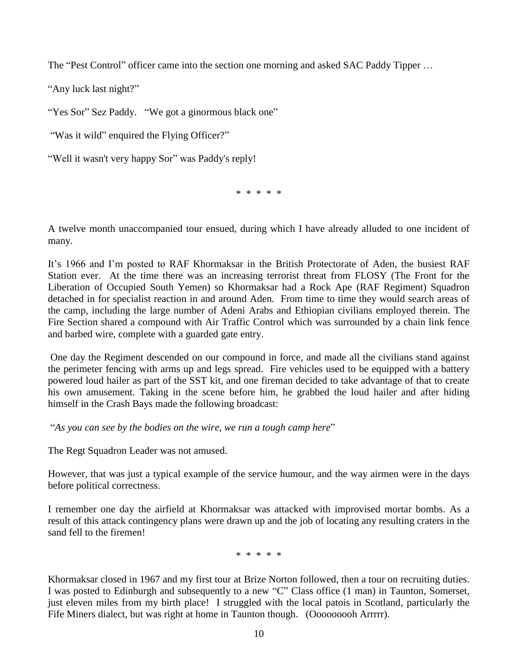The "Pest Control" officer came into the section one morning and asked SAC Paddy Tipper ...

"Any luck last night?"

"Yes Sor" Sez Paddy. "We got a ginormous black one"

"Was it wild" enquired the Flying Officer?"

"Well it wasn't very happy Sor" was Paddy's reply!

\* \* \* \* \*

A twelve month unaccompanied tour ensued, during which I have already alluded to one incident of many.

It"s 1966 and I"m posted to RAF Khormaksar in the British Protectorate of Aden, the busiest RAF Station ever. At the time there was an increasing terrorist threat from FLOSY (The Front for the Liberation of Occupied South Yemen) so Khormaksar had a Rock Ape (RAF Regiment) Squadron detached in for specialist reaction in and around Aden. From time to time they would search areas of the camp, including the large number of Adeni Arabs and Ethiopian civilians employed therein. The Fire Section shared a compound with Air Traffic Control which was surrounded by a chain link fence and barbed wire, complete with a guarded gate entry.

One day the Regiment descended on our compound in force, and made all the civilians stand against the perimeter fencing with arms up and legs spread. Fire vehicles used to be equipped with a battery powered loud hailer as part of the SST kit, and one fireman decided to take advantage of that to create his own amusement. Taking in the scene before him, he grabbed the loud hailer and after hiding himself in the Crash Bays made the following broadcast:

"*As you can see by the bodies on the wire, we run a tough camp here*"

The Regt Squadron Leader was not amused.

However, that was just a typical example of the service humour, and the way airmen were in the days before political correctness.

I remember one day the airfield at Khormaksar was attacked with improvised mortar bombs. As a result of this attack contingency plans were drawn up and the job of locating any resulting craters in the sand fell to the firemen!

\* \* \* \* \*

Khormaksar closed in 1967 and my first tour at Brize Norton followed, then a tour on recruiting duties. I was posted to Edinburgh and subsequently to a new "C" Class office (1 man) in Taunton, Somerset, just eleven miles from my birth place! I struggled with the local patois in Scotland, particularly the Fife Miners dialect, but was right at home in Taunton though. (Ooooooooh Arrrrr).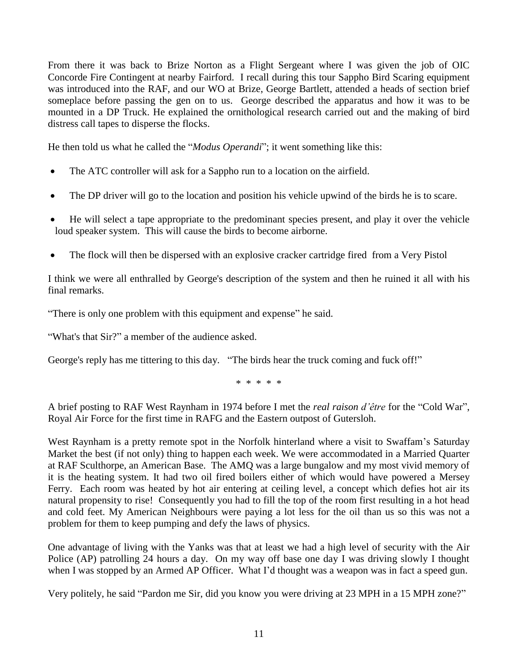From there it was back to Brize Norton as a Flight Sergeant where I was given the job of OIC Concorde Fire Contingent at nearby Fairford. I recall during this tour Sappho Bird Scaring equipment was introduced into the RAF, and our WO at Brize, George Bartlett, attended a heads of section brief someplace before passing the gen on to us. George described the apparatus and how it was to be mounted in a DP Truck. He explained the ornithological research carried out and the making of bird distress call tapes to disperse the flocks.

He then told us what he called the "*Modus Operandi*"; it went something like this:

- The ATC controller will ask for a Sappho run to a location on the airfield.
- The DP driver will go to the location and position his vehicle upwind of the birds he is to scare.
- He will select a tape appropriate to the predominant species present, and play it over the vehicle loud speaker system. This will cause the birds to become airborne.
- The flock will then be dispersed with an explosive cracker cartridge fired from a Very Pistol

I think we were all enthralled by George's description of the system and then he ruined it all with his final remarks.

"There is only one problem with this equipment and expense" he said.

"What's that Sir?" a member of the audience asked.

George's reply has me tittering to this day. "The birds hear the truck coming and fuck off!"

\* \* \* \* \*

A brief posting to RAF West Raynham in 1974 before I met the *real raison d'être* for the "Cold War", Royal Air Force for the first time in RAFG and the Eastern outpost of Gutersloh.

West Raynham is a pretty remote spot in the Norfolk hinterland where a visit to Swaffam"s Saturday Market the best (if not only) thing to happen each week. We were accommodated in a Married Quarter at RAF Sculthorpe, an American Base. The AMQ was a large bungalow and my most vivid memory of it is the heating system. It had two oil fired boilers either of which would have powered a Mersey Ferry. Each room was heated by hot air entering at ceiling level, a concept which defies hot air its natural propensity to rise! Consequently you had to fill the top of the room first resulting in a hot head and cold feet. My American Neighbours were paying a lot less for the oil than us so this was not a problem for them to keep pumping and defy the laws of physics.

One advantage of living with the Yanks was that at least we had a high level of security with the Air Police (AP) patrolling 24 hours a day. On my way off base one day I was driving slowly I thought when I was stopped by an Armed AP Officer. What I"d thought was a weapon was in fact a speed gun.

Very politely, he said "Pardon me Sir, did you know you were driving at 23 MPH in a 15 MPH zone?"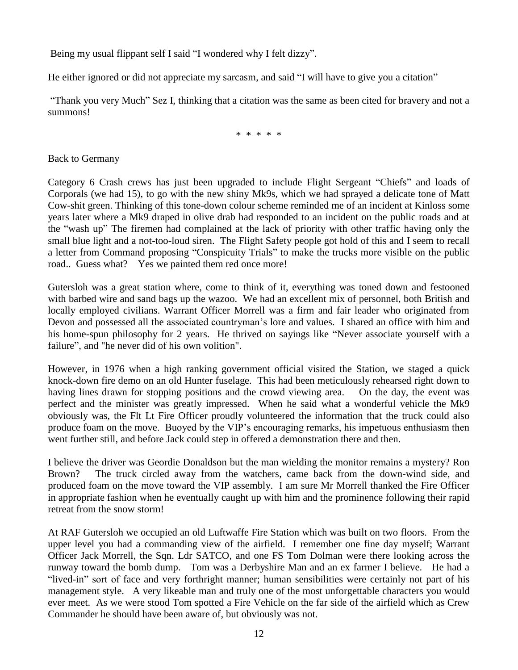Being my usual flippant self I said "I wondered why I felt dizzy".

He either ignored or did not appreciate my sarcasm, and said "I will have to give you a citation"

"Thank you very Much" Sez I, thinking that a citation was the same as been cited for bravery and not a summons!

\* \* \* \* \*

Back to Germany

Category 6 Crash crews has just been upgraded to include Flight Sergeant "Chiefs" and loads of Corporals (we had 15), to go with the new shiny Mk9s, which we had sprayed a delicate tone of Matt Cow-shit green. Thinking of this tone-down colour scheme reminded me of an incident at Kinloss some years later where a Mk9 draped in olive drab had responded to an incident on the public roads and at the "wash up" The firemen had complained at the lack of priority with other traffic having only the small blue light and a not-too-loud siren. The Flight Safety people got hold of this and I seem to recall a letter from Command proposing "Conspicuity Trials" to make the trucks more visible on the public road.. Guess what? Yes we painted them red once more!

Gutersloh was a great station where, come to think of it, everything was toned down and festooned with barbed wire and sand bags up the wazoo. We had an excellent mix of personnel, both British and locally employed civilians. Warrant Officer Morrell was a firm and fair leader who originated from Devon and possessed all the associated countryman"s lore and values. I shared an office with him and his home-spun philosophy for 2 years. He thrived on sayings like "Never associate yourself with a failure", and "he never did of his own volition".

However, in 1976 when a high ranking government official visited the Station, we staged a quick knock-down fire demo on an old Hunter fuselage. This had been meticulously rehearsed right down to having lines drawn for stopping positions and the crowd viewing area. On the day, the event was perfect and the minister was greatly impressed. When he said what a wonderful vehicle the Mk9 obviously was, the Flt Lt Fire Officer proudly volunteered the information that the truck could also produce foam on the move. Buoyed by the VIP"s encouraging remarks, his impetuous enthusiasm then went further still, and before Jack could step in offered a demonstration there and then.

I believe the driver was Geordie Donaldson but the man wielding the monitor remains a mystery? Ron Brown? The truck circled away from the watchers, came back from the down-wind side, and produced foam on the move toward the VIP assembly. I am sure Mr Morrell thanked the Fire Officer in appropriate fashion when he eventually caught up with him and the prominence following their rapid retreat from the snow storm!

At RAF Gutersloh we occupied an old Luftwaffe Fire Station which was built on two floors. From the upper level you had a commanding view of the airfield. I remember one fine day myself; Warrant Officer Jack Morrell, the Sqn. Ldr SATCO, and one FS Tom Dolman were there looking across the runway toward the bomb dump. Tom was a Derbyshire Man and an ex farmer I believe. He had a "lived-in" sort of face and very forthright manner; human sensibilities were certainly not part of his management style. A very likeable man and truly one of the most unforgettable characters you would ever meet. As we were stood Tom spotted a Fire Vehicle on the far side of the airfield which as Crew Commander he should have been aware of, but obviously was not.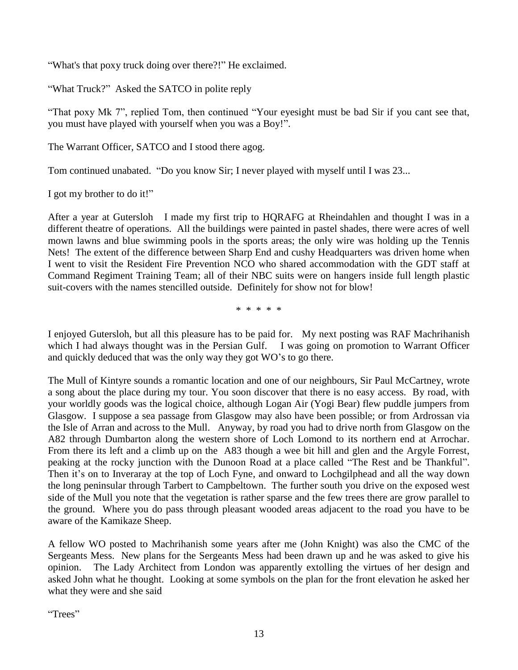"What's that poxy truck doing over there?!" He exclaimed.

"What Truck?" Asked the SATCO in polite reply

"That poxy Mk 7", replied Tom, then continued "Your eyesight must be bad Sir if you cant see that, you must have played with yourself when you was a Boy!".

The Warrant Officer, SATCO and I stood there agog.

Tom continued unabated. "Do you know Sir; I never played with myself until I was 23...

I got my brother to do it!"

After a year at Gutersloh I made my first trip to HQRAFG at Rheindahlen and thought I was in a different theatre of operations. All the buildings were painted in pastel shades, there were acres of well mown lawns and blue swimming pools in the sports areas; the only wire was holding up the Tennis Nets! The extent of the difference between Sharp End and cushy Headquarters was driven home when I went to visit the Resident Fire Prevention NCO who shared accommodation with the GDT staff at Command Regiment Training Team; all of their NBC suits were on hangers inside full length plastic suit-covers with the names stencilled outside. Definitely for show not for blow!

\* \* \* \* \*

I enjoyed Gutersloh, but all this pleasure has to be paid for. My next posting was RAF Machrihanish which I had always thought was in the Persian Gulf. I was going on promotion to Warrant Officer and quickly deduced that was the only way they got WO"s to go there.

The Mull of Kintyre sounds a romantic location and one of our neighbours, Sir Paul McCartney, wrote a song about the place during my tour. You soon discover that there is no easy access. By road, with your worldly goods was the logical choice, although Logan Air (Yogi Bear) flew puddle jumpers from Glasgow. I suppose a sea passage from Glasgow may also have been possible; or from Ardrossan via the Isle of Arran and across to the Mull. Anyway, by road you had to drive north from Glasgow on the A82 through Dumbarton along the western shore of Loch Lomond to its northern end at Arrochar. From there its left and a climb up on the A83 though a wee bit hill and glen and the Argyle Forrest, peaking at the rocky junction with the Dunoon Road at a place called "The Rest and be Thankful". Then it's on to Inveraray at the top of Loch Fyne, and onward to Lochgilphead and all the way down the long peninsular through Tarbert to Campbeltown. The further south you drive on the exposed west side of the Mull you note that the vegetation is rather sparse and the few trees there are grow parallel to the ground. Where you do pass through pleasant wooded areas adjacent to the road you have to be aware of the Kamikaze Sheep.

A fellow WO posted to Machrihanish some years after me (John Knight) was also the CMC of the Sergeants Mess. New plans for the Sergeants Mess had been drawn up and he was asked to give his opinion. The Lady Architect from London was apparently extolling the virtues of her design and asked John what he thought. Looking at some symbols on the plan for the front elevation he asked her what they were and she said

"Trees"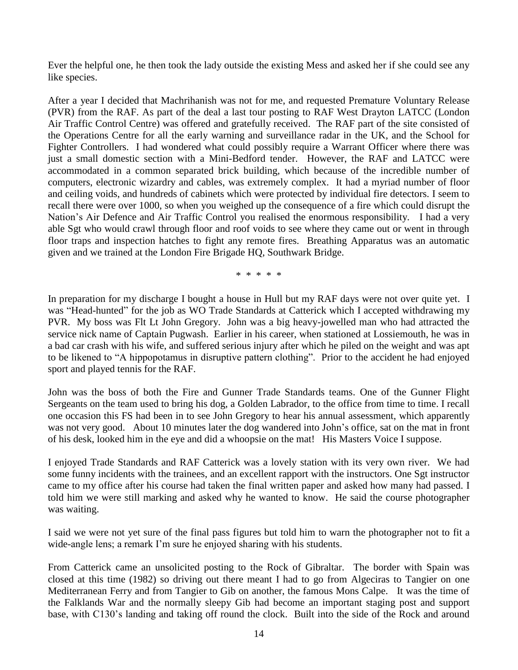Ever the helpful one, he then took the lady outside the existing Mess and asked her if she could see any like species.

After a year I decided that Machrihanish was not for me, and requested Premature Voluntary Release (PVR) from the RAF. As part of the deal a last tour posting to RAF West Drayton LATCC (London Air Traffic Control Centre) was offered and gratefully received. The RAF part of the site consisted of the Operations Centre for all the early warning and surveillance radar in the UK, and the School for Fighter Controllers. I had wondered what could possibly require a Warrant Officer where there was just a small domestic section with a Mini-Bedford tender. However, the RAF and LATCC were accommodated in a common separated brick building, which because of the incredible number of computers, electronic wizardry and cables, was extremely complex. It had a myriad number of floor and ceiling voids, and hundreds of cabinets which were protected by individual fire detectors. I seem to recall there were over 1000, so when you weighed up the consequence of a fire which could disrupt the Nation"s Air Defence and Air Traffic Control you realised the enormous responsibility. I had a very able Sgt who would crawl through floor and roof voids to see where they came out or went in through floor traps and inspection hatches to fight any remote fires. Breathing Apparatus was an automatic given and we trained at the London Fire Brigade HQ, Southwark Bridge.

\* \* \* \* \*

In preparation for my discharge I bought a house in Hull but my RAF days were not over quite yet. I was "Head-hunted" for the job as WO Trade Standards at Catterick which I accepted withdrawing my PVR. My boss was Flt Lt John Gregory. John was a big heavy-jowelled man who had attracted the service nick name of Captain Pugwash. Earlier in his career, when stationed at Lossiemouth, he was in a bad car crash with his wife, and suffered serious injury after which he piled on the weight and was apt to be likened to "A hippopotamus in disruptive pattern clothing". Prior to the accident he had enjoyed sport and played tennis for the RAF.

John was the boss of both the Fire and Gunner Trade Standards teams. One of the Gunner Flight Sergeants on the team used to bring his dog, a Golden Labrador, to the office from time to time. I recall one occasion this FS had been in to see John Gregory to hear his annual assessment, which apparently was not very good. About 10 minutes later the dog wandered into John"s office, sat on the mat in front of his desk, looked him in the eye and did a whoopsie on the mat! His Masters Voice I suppose.

I enjoyed Trade Standards and RAF Catterick was a lovely station with its very own river. We had some funny incidents with the trainees, and an excellent rapport with the instructors. One Sgt instructor came to my office after his course had taken the final written paper and asked how many had passed. I told him we were still marking and asked why he wanted to know. He said the course photographer was waiting.

I said we were not yet sure of the final pass figures but told him to warn the photographer not to fit a wide-angle lens; a remark I'm sure he enjoyed sharing with his students.

From Catterick came an unsolicited posting to the Rock of Gibraltar. The border with Spain was closed at this time (1982) so driving out there meant I had to go from Algeciras to Tangier on one Mediterranean Ferry and from Tangier to Gib on another, the famous Mons Calpe. It was the time of the Falklands War and the normally sleepy Gib had become an important staging post and support base, with C130"s landing and taking off round the clock. Built into the side of the Rock and around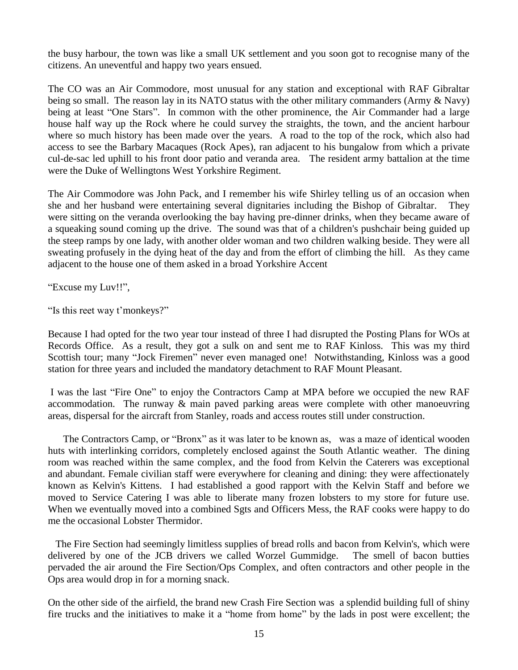the busy harbour, the town was like a small UK settlement and you soon got to recognise many of the citizens. An uneventful and happy two years ensued.

The CO was an Air Commodore, most unusual for any station and exceptional with RAF Gibraltar being so small. The reason lay in its NATO status with the other military commanders (Army & Navy) being at least "One Stars". In common with the other prominence, the Air Commander had a large house half way up the Rock where he could survey the straights, the town, and the ancient harbour where so much history has been made over the years. A road to the top of the rock, which also had access to see the Barbary Macaques (Rock Apes), ran adjacent to his bungalow from which a private cul-de-sac led uphill to his front door patio and veranda area. The resident army battalion at the time were the Duke of Wellingtons West Yorkshire Regiment.

The Air Commodore was John Pack, and I remember his wife Shirley telling us of an occasion when she and her husband were entertaining several dignitaries including the Bishop of Gibraltar. They were sitting on the veranda overlooking the bay having pre-dinner drinks, when they became aware of a squeaking sound coming up the drive. The sound was that of a children's pushchair being guided up the steep ramps by one lady, with another older woman and two children walking beside. They were all sweating profusely in the dying heat of the day and from the effort of climbing the hill. As they came adjacent to the house one of them asked in a broad Yorkshire Accent

"Excuse my Luv!!",

"Is this reet way t"monkeys?"

Because I had opted for the two year tour instead of three I had disrupted the Posting Plans for WOs at Records Office. As a result, they got a sulk on and sent me to RAF Kinloss. This was my third Scottish tour; many "Jock Firemen" never even managed one! Notwithstanding, Kinloss was a good station for three years and included the mandatory detachment to RAF Mount Pleasant.

I was the last "Fire One" to enjoy the Contractors Camp at MPA before we occupied the new RAF accommodation. The runway  $\&$  main paved parking areas were complete with other manoeuvring areas, dispersal for the aircraft from Stanley, roads and access routes still under construction.

 The Contractors Camp, or "Bronx" as it was later to be known as, was a maze of identical wooden huts with interlinking corridors, completely enclosed against the South Atlantic weather. The dining room was reached within the same complex, and the food from Kelvin the Caterers was exceptional and abundant. Female civilian staff were everywhere for cleaning and dining: they were affectionately known as Kelvin's Kittens. I had established a good rapport with the Kelvin Staff and before we moved to Service Catering I was able to liberate many frozen lobsters to my store for future use. When we eventually moved into a combined Sgts and Officers Mess, the RAF cooks were happy to do me the occasional Lobster Thermidor.

 The Fire Section had seemingly limitless supplies of bread rolls and bacon from Kelvin's, which were delivered by one of the JCB drivers we called Worzel Gummidge. The smell of bacon butties pervaded the air around the Fire Section/Ops Complex, and often contractors and other people in the Ops area would drop in for a morning snack.

On the other side of the airfield, the brand new Crash Fire Section was a splendid building full of shiny fire trucks and the initiatives to make it a "home from home" by the lads in post were excellent; the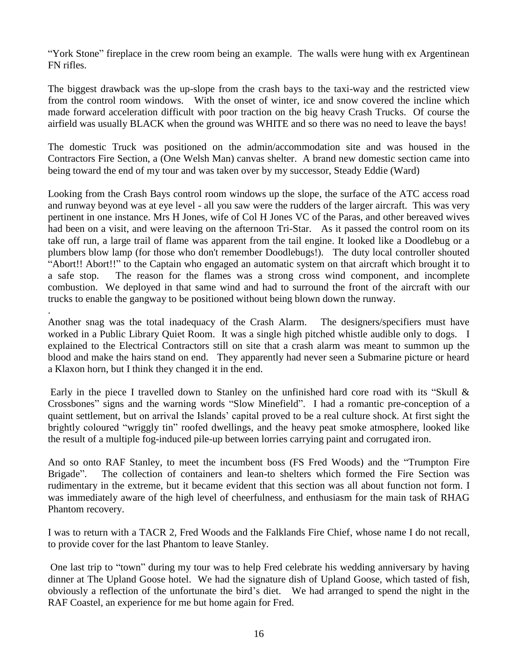"York Stone" fireplace in the crew room being an example. The walls were hung with ex Argentinean FN rifles.

The biggest drawback was the up-slope from the crash bays to the taxi-way and the restricted view from the control room windows. With the onset of winter, ice and snow covered the incline which made forward acceleration difficult with poor traction on the big heavy Crash Trucks. Of course the airfield was usually BLACK when the ground was WHITE and so there was no need to leave the bays!

The domestic Truck was positioned on the admin/accommodation site and was housed in the Contractors Fire Section, a (One Welsh Man) canvas shelter. A brand new domestic section came into being toward the end of my tour and was taken over by my successor, Steady Eddie (Ward)

Looking from the Crash Bays control room windows up the slope, the surface of the ATC access road and runway beyond was at eye level - all you saw were the rudders of the larger aircraft. This was very pertinent in one instance. Mrs H Jones, wife of Col H Jones VC of the Paras, and other bereaved wives had been on a visit, and were leaving on the afternoon Tri-Star. As it passed the control room on its take off run, a large trail of flame was apparent from the tail engine. It looked like a Doodlebug or a plumbers blow lamp (for those who don't remember Doodlebugs!). The duty local controller shouted "Abort!! Abort!!" to the Captain who engaged an automatic system on that aircraft which brought it to a safe stop. The reason for the flames was a strong cross wind component, and incomplete combustion. We deployed in that same wind and had to surround the front of the aircraft with our trucks to enable the gangway to be positioned without being blown down the runway.

Another snag was the total inadequacy of the Crash Alarm. The designers/specifiers must have worked in a Public Library Quiet Room. It was a single high pitched whistle audible only to dogs. I explained to the Electrical Contractors still on site that a crash alarm was meant to summon up the blood and make the hairs stand on end. They apparently had never seen a Submarine picture or heard a Klaxon horn, but I think they changed it in the end.

.

Early in the piece I travelled down to Stanley on the unfinished hard core road with its "Skull & Crossbones" signs and the warning words "Slow Minefield". I had a romantic pre-conception of a quaint settlement, but on arrival the Islands" capital proved to be a real culture shock. At first sight the brightly coloured "wriggly tin" roofed dwellings, and the heavy peat smoke atmosphere, looked like the result of a multiple fog-induced pile-up between lorries carrying paint and corrugated iron.

And so onto RAF Stanley, to meet the incumbent boss (FS Fred Woods) and the "Trumpton Fire Brigade". The collection of containers and lean-to shelters which formed the Fire Section was rudimentary in the extreme, but it became evident that this section was all about function not form. I was immediately aware of the high level of cheerfulness, and enthusiasm for the main task of RHAG Phantom recovery.

I was to return with a TACR 2, Fred Woods and the Falklands Fire Chief, whose name I do not recall, to provide cover for the last Phantom to leave Stanley.

One last trip to "town" during my tour was to help Fred celebrate his wedding anniversary by having dinner at The Upland Goose hotel. We had the signature dish of Upland Goose, which tasted of fish, obviously a reflection of the unfortunate the bird"s diet. We had arranged to spend the night in the RAF Coastel, an experience for me but home again for Fred.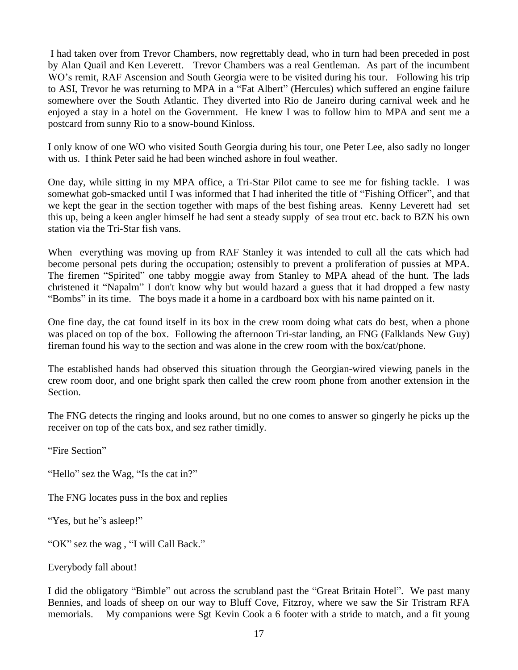I had taken over from Trevor Chambers, now regrettably dead, who in turn had been preceded in post by Alan Quail and Ken Leverett. Trevor Chambers was a real Gentleman. As part of the incumbent WO"s remit, RAF Ascension and South Georgia were to be visited during his tour. Following his trip to ASI, Trevor he was returning to MPA in a "Fat Albert" (Hercules) which suffered an engine failure somewhere over the South Atlantic. They diverted into Rio de Janeiro during carnival week and he enjoyed a stay in a hotel on the Government. He knew I was to follow him to MPA and sent me a postcard from sunny Rio to a snow-bound Kinloss.

I only know of one WO who visited South Georgia during his tour, one Peter Lee, also sadly no longer with us. I think Peter said he had been winched ashore in foul weather.

One day, while sitting in my MPA office, a Tri-Star Pilot came to see me for fishing tackle. I was somewhat gob-smacked until I was informed that I had inherited the title of "Fishing Officer", and that we kept the gear in the section together with maps of the best fishing areas. Kenny Leverett had set this up, being a keen angler himself he had sent a steady supply of sea trout etc. back to BZN his own station via the Tri-Star fish vans.

When everything was moving up from RAF Stanley it was intended to cull all the cats which had become personal pets during the occupation; ostensibly to prevent a proliferation of pussies at MPA. The firemen "Spirited" one tabby moggie away from Stanley to MPA ahead of the hunt. The lads christened it "Napalm" I don't know why but would hazard a guess that it had dropped a few nasty "Bombs" in its time. The boys made it a home in a cardboard box with his name painted on it.

One fine day, the cat found itself in its box in the crew room doing what cats do best, when a phone was placed on top of the box. Following the afternoon Tri-star landing, an FNG (Falklands New Guy) fireman found his way to the section and was alone in the crew room with the box/cat/phone.

The established hands had observed this situation through the Georgian-wired viewing panels in the crew room door, and one bright spark then called the crew room phone from another extension in the Section.

The FNG detects the ringing and looks around, but no one comes to answer so gingerly he picks up the receiver on top of the cats box, and sez rather timidly.

"Fire Section"

"Hello" sez the Wag, "Is the cat in?"

The FNG locates puss in the box and replies

"Yes, but he"s asleep!"

"OK" sez the wag , "I will Call Back."

Everybody fall about!

I did the obligatory "Bimble" out across the scrubland past the "Great Britain Hotel". We past many Bennies, and loads of sheep on our way to Bluff Cove, Fitzroy, where we saw the Sir Tristram RFA memorials. My companions were Sgt Kevin Cook a 6 footer with a stride to match, and a fit young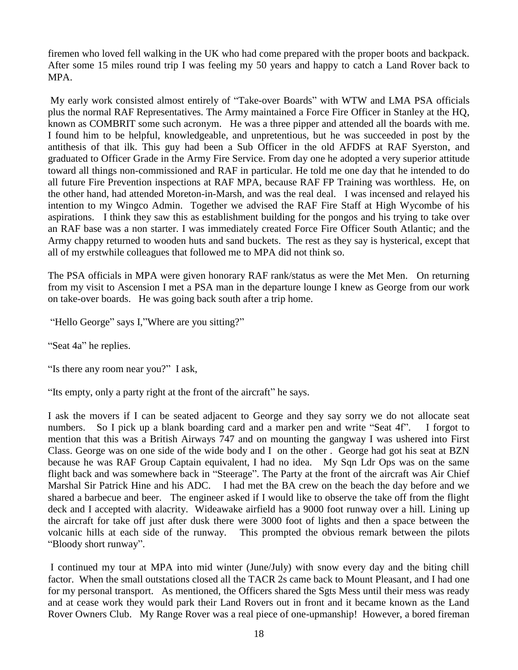firemen who loved fell walking in the UK who had come prepared with the proper boots and backpack. After some 15 miles round trip I was feeling my 50 years and happy to catch a Land Rover back to MPA.

My early work consisted almost entirely of "Take-over Boards" with WTW and LMA PSA officials plus the normal RAF Representatives. The Army maintained a Force Fire Officer in Stanley at the HQ, known as COMBRIT some such acronym. He was a three pipper and attended all the boards with me. I found him to be helpful, knowledgeable, and unpretentious, but he was succeeded in post by the antithesis of that ilk. This guy had been a Sub Officer in the old AFDFS at RAF Syerston, and graduated to Officer Grade in the Army Fire Service. From day one he adopted a very superior attitude toward all things non-commissioned and RAF in particular. He told me one day that he intended to do all future Fire Prevention inspections at RAF MPA, because RAF FP Training was worthless. He, on the other hand, had attended Moreton-in-Marsh, and was the real deal. I was incensed and relayed his intention to my Wingco Admin. Together we advised the RAF Fire Staff at High Wycombe of his aspirations. I think they saw this as establishment building for the pongos and his trying to take over an RAF base was a non starter. I was immediately created Force Fire Officer South Atlantic; and the Army chappy returned to wooden huts and sand buckets. The rest as they say is hysterical, except that all of my erstwhile colleagues that followed me to MPA did not think so.

The PSA officials in MPA were given honorary RAF rank/status as were the Met Men. On returning from my visit to Ascension I met a PSA man in the departure lounge I knew as George from our work on take-over boards. He was going back south after a trip home.

"Hello George" says I,"Where are you sitting?"

"Seat 4a" he replies.

"Is there any room near you?" I ask,

"Its empty, only a party right at the front of the aircraft" he says.

I ask the movers if I can be seated adjacent to George and they say sorry we do not allocate seat numbers. So I pick up a blank boarding card and a marker pen and write "Seat 4f". I forgot to mention that this was a British Airways 747 and on mounting the gangway I was ushered into First Class. George was on one side of the wide body and I on the other . George had got his seat at BZN because he was RAF Group Captain equivalent, I had no idea. My Sqn Ldr Ops was on the same flight back and was somewhere back in "Steerage". The Party at the front of the aircraft was Air Chief Marshal Sir Patrick Hine and his ADC. I had met the BA crew on the beach the day before and we shared a barbecue and beer. The engineer asked if I would like to observe the take off from the flight deck and I accepted with alacrity. Wideawake airfield has a 9000 foot runway over a hill. Lining up the aircraft for take off just after dusk there were 3000 foot of lights and then a space between the volcanic hills at each side of the runway. This prompted the obvious remark between the pilots "Bloody short runway".

I continued my tour at MPA into mid winter (June/July) with snow every day and the biting chill factor. When the small outstations closed all the TACR 2s came back to Mount Pleasant, and I had one for my personal transport. As mentioned, the Officers shared the Sgts Mess until their mess was ready and at cease work they would park their Land Rovers out in front and it became known as the Land Rover Owners Club. My Range Rover was a real piece of one-upmanship! However, a bored fireman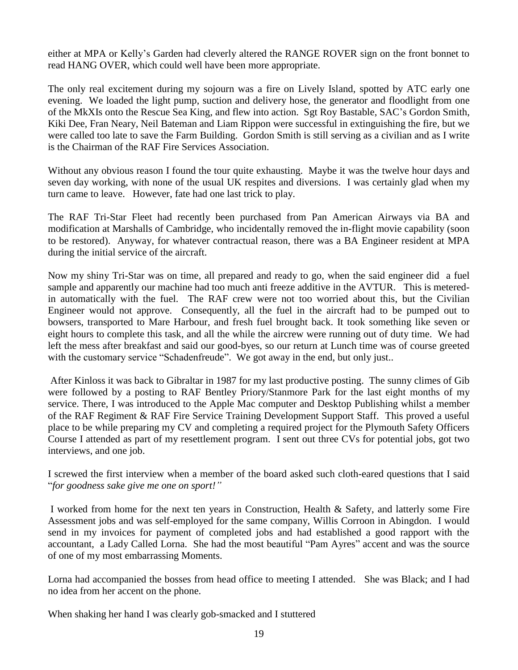either at MPA or Kelly"s Garden had cleverly altered the RANGE ROVER sign on the front bonnet to read HANG OVER, which could well have been more appropriate.

The only real excitement during my sojourn was a fire on Lively Island, spotted by ATC early one evening. We loaded the light pump, suction and delivery hose, the generator and floodlight from one of the MkXIs onto the Rescue Sea King, and flew into action. Sgt Roy Bastable, SAC"s Gordon Smith, Kiki Dee, Fran Neary, Neil Bateman and Liam Rippon were successful in extinguishing the fire, but we were called too late to save the Farm Building. Gordon Smith is still serving as a civilian and as I write is the Chairman of the RAF Fire Services Association.

Without any obvious reason I found the tour quite exhausting. Maybe it was the twelve hour days and seven day working, with none of the usual UK respites and diversions. I was certainly glad when my turn came to leave. However, fate had one last trick to play.

The RAF Tri-Star Fleet had recently been purchased from Pan American Airways via BA and modification at Marshalls of Cambridge, who incidentally removed the in-flight movie capability (soon to be restored). Anyway, for whatever contractual reason, there was a BA Engineer resident at MPA during the initial service of the aircraft.

Now my shiny Tri-Star was on time, all prepared and ready to go, when the said engineer did a fuel sample and apparently our machine had too much anti freeze additive in the AVTUR. This is meteredin automatically with the fuel. The RAF crew were not too worried about this, but the Civilian Engineer would not approve. Consequently, all the fuel in the aircraft had to be pumped out to bowsers, transported to Mare Harbour, and fresh fuel brought back. It took something like seven or eight hours to complete this task, and all the while the aircrew were running out of duty time. We had left the mess after breakfast and said our good-byes, so our return at Lunch time was of course greeted with the customary service "Schadenfreude". We got away in the end, but only just..

After Kinloss it was back to Gibraltar in 1987 for my last productive posting. The sunny climes of Gib were followed by a posting to RAF Bentley Priory/Stanmore Park for the last eight months of my service. There, I was introduced to the Apple Mac computer and Desktop Publishing whilst a member of the RAF Regiment & RAF Fire Service Training Development Support Staff. This proved a useful place to be while preparing my CV and completing a required project for the Plymouth Safety Officers Course I attended as part of my resettlement program. I sent out three CVs for potential jobs, got two interviews, and one job.

I screwed the first interview when a member of the board asked such cloth-eared questions that I said "*for goodness sake give me one on sport!"*

I worked from home for the next ten years in Construction, Health & Safety, and latterly some Fire Assessment jobs and was self-employed for the same company, Willis Corroon in Abingdon. I would send in my invoices for payment of completed jobs and had established a good rapport with the accountant, a Lady Called Lorna. She had the most beautiful "Pam Ayres" accent and was the source of one of my most embarrassing Moments.

Lorna had accompanied the bosses from head office to meeting I attended. She was Black; and I had no idea from her accent on the phone.

When shaking her hand I was clearly gob-smacked and I stuttered